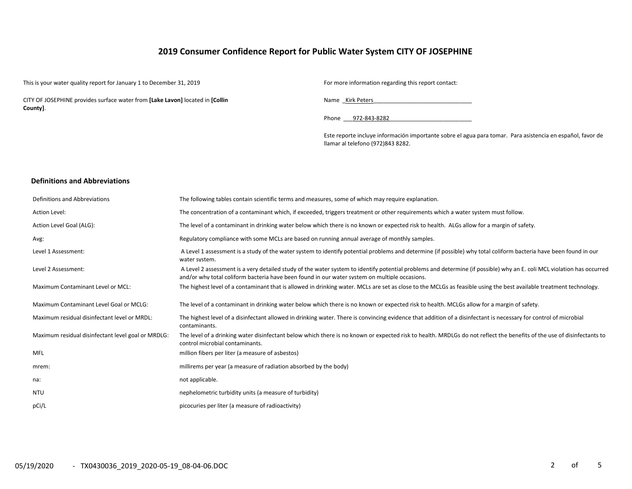## **2019 Consumer Confidence Report for Public Water System CITY OF JOSEPHINE**

This is your water quality report for January 1 to December 31, 2019 For more information regarding this report contact:

CITY OF JOSEPHINE provides surface water from **[Lake Lavon]** located in **[Collin County]**.

Name \_Kirk Peters

Phone 972-843-8282

Este reporte incluye información importante sobre el agua para tomar. Para asistencia en español, favor de llamar al telefono (972)843 8282.

#### **Definitions and Abbreviations**

| Definitions and Abbreviations                      | The following tables contain scientific terms and measures, some of which may require explanation.                                                                                                                                                                      |
|----------------------------------------------------|-------------------------------------------------------------------------------------------------------------------------------------------------------------------------------------------------------------------------------------------------------------------------|
| Action Level:                                      | The concentration of a contaminant which, if exceeded, triggers treatment or other requirements which a water system must follow.                                                                                                                                       |
| Action Level Goal (ALG):                           | The level of a contaminant in drinking water below which there is no known or expected risk to health. ALGs allow for a margin of safety.                                                                                                                               |
| Avg:                                               | Regulatory compliance with some MCLs are based on running annual average of monthly samples.                                                                                                                                                                            |
| Level 1 Assessment:                                | A Level 1 assessment is a study of the water system to identify potential problems and determine (if possible) why total coliform bacteria have been found in our<br>water system.                                                                                      |
| Level 2 Assessment:                                | A Level 2 assessment is a very detailed study of the water system to identify potential problems and determine (if possible) why an E. coli MCL violation has occurred<br>and/or why total coliform bacteria have been found in our water system on multiple occasions. |
| Maximum Contaminant Level or MCL:                  | The highest level of a contaminant that is allowed in drinking water. MCLs are set as close to the MCLGs as feasible using the best available treatment technology.                                                                                                     |
| Maximum Contaminant Level Goal or MCLG:            | The level of a contaminant in drinking water below which there is no known or expected risk to health. MCLGs allow for a margin of safety.                                                                                                                              |
| Maximum residual disinfectant level or MRDL:       | The highest level of a disinfectant allowed in drinking water. There is convincing evidence that addition of a disinfectant is necessary for control of microbial<br>contaminants.                                                                                      |
| Maximum residual disinfectant level goal or MRDLG: | The level of a drinking water disinfectant below which there is no known or expected risk to health. MRDLGs do not reflect the benefits of the use of disinfectants to<br>control microbial contaminants.                                                               |
| <b>MFL</b>                                         | million fibers per liter (a measure of asbestos)                                                                                                                                                                                                                        |
| mrem:                                              | millirems per year (a measure of radiation absorbed by the body)                                                                                                                                                                                                        |
| na:                                                | not applicable.                                                                                                                                                                                                                                                         |
| <b>NTU</b>                                         | nephelometric turbidity units (a measure of turbidity)                                                                                                                                                                                                                  |
| pCi/L                                              | picocuries per liter (a measure of radioactivity)                                                                                                                                                                                                                       |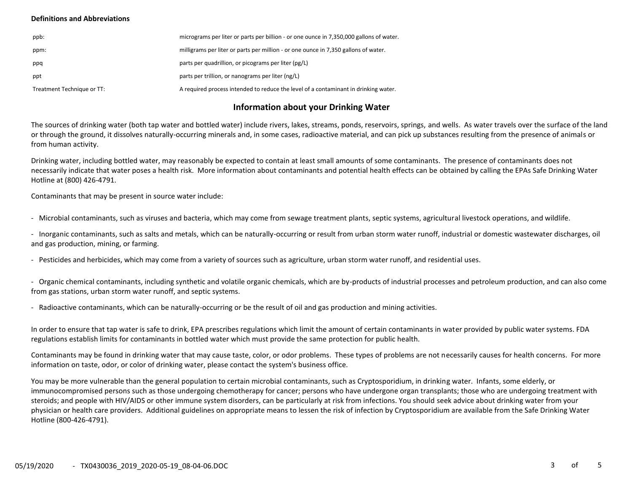### **Definitions and Abbreviations**

| ppb:                       | micrograms per liter or parts per billion - or one ounce in 7,350,000 gallons of water. |
|----------------------------|-----------------------------------------------------------------------------------------|
| ppm:                       | milligrams per liter or parts per million - or one ounce in 7,350 gallons of water.     |
| ppq                        | parts per quadrillion, or picograms per liter (pg/L)                                    |
| ppt                        | parts per trillion, or nanograms per liter (ng/L)                                       |
| Treatment Technique or TT: | A required process intended to reduce the level of a contaminant in drinking water.     |

## **Information about your Drinking Water**

The sources of drinking water (both tap water and bottled water) include rivers, lakes, streams, ponds, reservoirs, springs, and wells. As water travels over the surface of the land or through the ground, it dissolves naturally-occurring minerals and, in some cases, radioactive material, and can pick up substances resulting from the presence of animals or from human activity.

Drinking water, including bottled water, may reasonably be expected to contain at least small amounts of some contaminants. The presence of contaminants does not necessarily indicate that water poses a health risk. More information about contaminants and potential health effects can be obtained by calling the EPAs Safe Drinking Water Hotline at (800) 426-4791.

Contaminants that may be present in source water include:

- Microbial contaminants, such as viruses and bacteria, which may come from sewage treatment plants, septic systems, agricultural livestock operations, and wildlife.

- Inorganic contaminants, such as salts and metals, which can be naturally-occurring or result from urban storm water runoff, industrial or domestic wastewater discharges, oil and gas production, mining, or farming.

- Pesticides and herbicides, which may come from a variety of sources such as agriculture, urban storm water runoff, and residential uses.

- Organic chemical contaminants, including synthetic and volatile organic chemicals, which are by-products of industrial processes and petroleum production, and can also come from gas stations, urban storm water runoff, and septic systems.

- Radioactive contaminants, which can be naturally-occurring or be the result of oil and gas production and mining activities.

In order to ensure that tap water is safe to drink, EPA prescribes regulations which limit the amount of certain contaminants in water provided by public water systems. FDA regulations establish limits for contaminants in bottled water which must provide the same protection for public health.

Contaminants may be found in drinking water that may cause taste, color, or odor problems. These types of problems are not necessarily causes for health concerns. For more information on taste, odor, or color of drinking water, please contact the system's business office.

You may be more vulnerable than the general population to certain microbial contaminants, such as Cryptosporidium, in drinking water. Infants, some elderly, or immunocompromised persons such as those undergoing chemotherapy for cancer; persons who have undergone organ transplants; those who are undergoing treatment with steroids; and people with HIV/AIDS or other immune system disorders, can be particularly at risk from infections. You should seek advice about drinking water from your physician or health care providers. Additional guidelines on appropriate means to lessen the risk of infection by Cryptosporidium are available from the Safe Drinking Water Hotline (800-426-4791).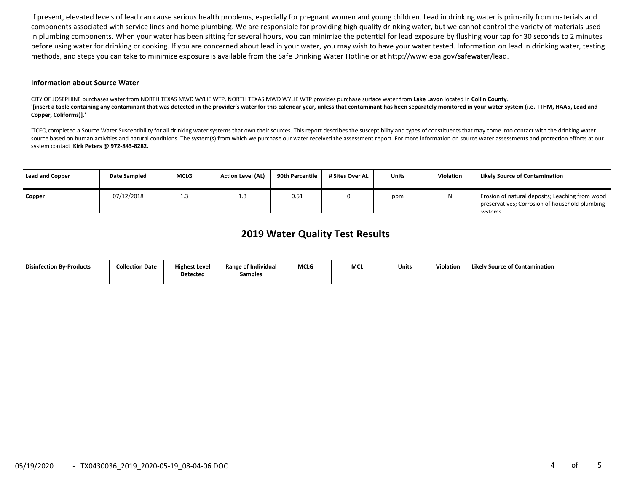If present, elevated levels of lead can cause serious health problems, especially for pregnant women and young children. Lead in drinking water is primarily from materials and components associated with service lines and home plumbing. We are responsible for providing high quality drinking water, but we cannot control the variety of materials used in plumbing components. When your water has been sitting for several hours, you can minimize the potential for lead exposure by flushing your tap for 30 seconds to 2 minutes before using water for drinking or cooking. If you are concerned about lead in your water, you may wish to have your water tested. Information on lead in drinking water, testing methods, and steps you can take to minimize exposure is available from the Safe Drinking Water Hotline or at http://www.epa.gov/safewater/lead.

#### **Information about Source Water**

CITY OF JOSEPHINE purchases water from NORTH TEXAS MWD WYLIE WTP. NORTH TEXAS MWD WYLIE WTP provides purchase surface water from **Lake Lavon** located in **Collin County**. '[insert a table containing any contaminant that was detected in the provider's water for this calendar year, unless that contaminant has been separately monitored in your water system (i.e. TTHM, HAA5, Lead and **Copper, Coliforms)].**'

'TCEQ completed a Source Water Susceptibility for all drinking water systems that own their sources. This report describes the susceptibility and types of constituents that may come into contact with the drinking water source based on human activities and natural conditions. The system(s) from which we purchase our water received the assessment report. For more information on source water assessments and protection efforts at our system contact **Kirk Peters @ 972-843-8282.**

| <b>Lead and Copper</b> | Date Sampled | <b>MCLG</b> | <b>Action Level (AL)</b> | 90th Percentile | # Sites Over AL | Units | Violation | <b>Likely Source of Contamination</b>                                                                        |
|------------------------|--------------|-------------|--------------------------|-----------------|-----------------|-------|-----------|--------------------------------------------------------------------------------------------------------------|
| Copper                 | 07/12/2018   | 1.3         | <b></b>                  | 0.51            |                 | ppm   | N         | Erosion of natural deposits; Leaching from wood<br>preservatives; Corrosion of household plumbing<br>svstems |

# **2019 Water Quality Test Results**

| <b>Disinfection By-Products</b> | <b>Collection Date</b> | <b>Highest Level</b> | <b>Range of Individual</b> | <b>MCLG</b> | MCI | Units | Violation | <b>Likely Source of Contamination</b> |
|---------------------------------|------------------------|----------------------|----------------------------|-------------|-----|-------|-----------|---------------------------------------|
|                                 |                        | <b>Detected</b>      | <b>Samples</b>             |             |     |       |           |                                       |